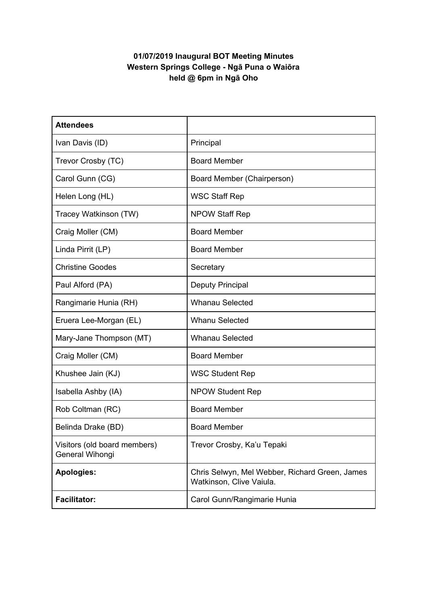## **01/07/2019 Inaugural BOT Meeting Minutes Western Springs College - Ngā Puna o Waiōra held @ 6pm in Ngā Oho**

| <b>Attendees</b>                                |                                                                            |
|-------------------------------------------------|----------------------------------------------------------------------------|
| Ivan Davis (ID)                                 | Principal                                                                  |
| Trevor Crosby (TC)                              | <b>Board Member</b>                                                        |
| Carol Gunn (CG)                                 | Board Member (Chairperson)                                                 |
| Helen Long (HL)                                 | <b>WSC Staff Rep</b>                                                       |
| Tracey Watkinson (TW)                           | <b>NPOW Staff Rep</b>                                                      |
| Craig Moller (CM)                               | <b>Board Member</b>                                                        |
| Linda Pirrit (LP)                               | <b>Board Member</b>                                                        |
| <b>Christine Goodes</b>                         | Secretary                                                                  |
| Paul Alford (PA)                                | Deputy Principal                                                           |
| Rangimarie Hunia (RH)                           | <b>Whanau Selected</b>                                                     |
| Eruera Lee-Morgan (EL)                          | <b>Whanu Selected</b>                                                      |
| Mary-Jane Thompson (MT)                         | <b>Whanau Selected</b>                                                     |
| Craig Moller (CM)                               | <b>Board Member</b>                                                        |
| Khushee Jain (KJ)                               | <b>WSC Student Rep</b>                                                     |
| Isabella Ashby (IA)                             | <b>NPOW Student Rep</b>                                                    |
| Rob Coltman (RC)                                | <b>Board Member</b>                                                        |
| Belinda Drake (BD)                              | <b>Board Member</b>                                                        |
| Visitors (old board members)<br>General Wihongi | Trevor Crosby, Ka'u Tepaki                                                 |
| <b>Apologies:</b>                               | Chris Selwyn, Mel Webber, Richard Green, James<br>Watkinson, Clive Vaiula. |
| <b>Facilitator:</b>                             | Carol Gunn/Rangimarie Hunia                                                |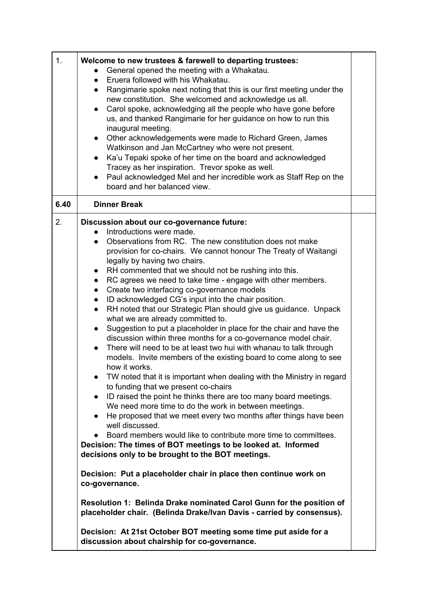| 1.   | Welcome to new trustees & farewell to departing trustees:<br>General opened the meeting with a Whakatau.<br>Eruera followed with his Whakatau.<br>$\bullet$<br>Rangimarie spoke next noting that this is our first meeting under the<br>$\bullet$<br>new constitution. She welcomed and acknowledge us all.<br>Carol spoke, acknowledging all the people who have gone before<br>us, and thanked Rangimarie for her guidance on how to run this<br>inaugural meeting.<br>Other acknowledgements were made to Richard Green, James<br>$\bullet$<br>Watkinson and Jan McCartney who were not present.<br>Ka'u Tepaki spoke of her time on the board and acknowledged<br>$\bullet$<br>Tracey as her inspiration. Trevor spoke as well.<br>Paul acknowledged Mel and her incredible work as Staff Rep on the<br>board and her balanced view.                                                                                                                                                                                                                                                                                                                                                                                                                                                                                                                                                                                                                                                                                                                                                                                                                                                                                                                                                                                                                                                                                                   |  |
|------|--------------------------------------------------------------------------------------------------------------------------------------------------------------------------------------------------------------------------------------------------------------------------------------------------------------------------------------------------------------------------------------------------------------------------------------------------------------------------------------------------------------------------------------------------------------------------------------------------------------------------------------------------------------------------------------------------------------------------------------------------------------------------------------------------------------------------------------------------------------------------------------------------------------------------------------------------------------------------------------------------------------------------------------------------------------------------------------------------------------------------------------------------------------------------------------------------------------------------------------------------------------------------------------------------------------------------------------------------------------------------------------------------------------------------------------------------------------------------------------------------------------------------------------------------------------------------------------------------------------------------------------------------------------------------------------------------------------------------------------------------------------------------------------------------------------------------------------------------------------------------------------------------------------------------------------------|--|
| 6.40 | <b>Dinner Break</b>                                                                                                                                                                                                                                                                                                                                                                                                                                                                                                                                                                                                                                                                                                                                                                                                                                                                                                                                                                                                                                                                                                                                                                                                                                                                                                                                                                                                                                                                                                                                                                                                                                                                                                                                                                                                                                                                                                                        |  |
| 2.   | Discussion about our co-governance future:<br>Introductions were made.<br>$\bullet$<br>Observations from RC. The new constitution does not make<br>$\bullet$<br>provision for co-chairs. We cannot honour The Treaty of Waitangi<br>legally by having two chairs.<br>RH commented that we should not be rushing into this.<br>$\bullet$<br>RC agrees we need to take time - engage with other members.<br>$\bullet$<br>Create two interfacing co-governance models<br>$\bullet$<br>ID acknowledged CG's input into the chair position.<br>$\bullet$<br>RH noted that our Strategic Plan should give us guidance. Unpack<br>$\bullet$<br>what we are already committed to.<br>Suggestion to put a placeholder in place for the chair and have the<br>$\bullet$<br>discussion within three months for a co-governance model chair.<br>There will need to be at least two hui with whanau to talk through<br>$\bullet$<br>models. Invite members of the existing board to come along to see<br>how it works.<br>TW noted that it is important when dealing with the Ministry in regard<br>$\bullet$<br>to funding that we present co-chairs<br>ID raised the point he thinks there are too many board meetings.<br>$\bullet$<br>We need more time to do the work in between meetings.<br>He proposed that we meet every two months after things have been<br>$\bullet$<br>well discussed.<br>Board members would like to contribute more time to committees.<br>Decision: The times of BOT meetings to be looked at. Informed<br>decisions only to be brought to the BOT meetings.<br>Decision: Put a placeholder chair in place then continue work on<br>co-governance.<br>Resolution 1: Belinda Drake nominated Carol Gunn for the position of<br>placeholder chair. (Belinda Drake/Ivan Davis - carried by consensus).<br>Decision: At 21st October BOT meeting some time put aside for a<br>discussion about chairship for co-governance. |  |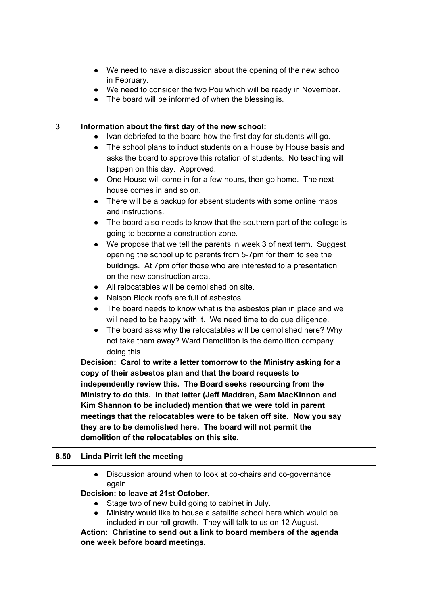|      | We need to have a discussion about the opening of the new school<br>in February.<br>We need to consider the two Pou which will be ready in November.<br>• The board will be informed of when the blessing is.                                                                                                                                                                                                                                                                                                                                                                                                                                                                                                                                                                                                                                                                                                                                                                                                                                                                                                                                                                                                                                                                                                                                                                                                                                                                                                                                                                                                                                                                                                                                                                                                                                                       |  |
|------|---------------------------------------------------------------------------------------------------------------------------------------------------------------------------------------------------------------------------------------------------------------------------------------------------------------------------------------------------------------------------------------------------------------------------------------------------------------------------------------------------------------------------------------------------------------------------------------------------------------------------------------------------------------------------------------------------------------------------------------------------------------------------------------------------------------------------------------------------------------------------------------------------------------------------------------------------------------------------------------------------------------------------------------------------------------------------------------------------------------------------------------------------------------------------------------------------------------------------------------------------------------------------------------------------------------------------------------------------------------------------------------------------------------------------------------------------------------------------------------------------------------------------------------------------------------------------------------------------------------------------------------------------------------------------------------------------------------------------------------------------------------------------------------------------------------------------------------------------------------------|--|
| 3.   | Information about the first day of the new school:<br>Ivan debriefed to the board how the first day for students will go.<br>The school plans to induct students on a House by House basis and<br>$\bullet$<br>asks the board to approve this rotation of students. No teaching will<br>happen on this day. Approved.<br>One House will come in for a few hours, then go home. The next<br>$\bullet$<br>house comes in and so on.<br>There will be a backup for absent students with some online maps<br>$\bullet$<br>and instructions.<br>The board also needs to know that the southern part of the college is<br>$\bullet$<br>going to become a construction zone.<br>We propose that we tell the parents in week 3 of next term. Suggest<br>$\bullet$<br>opening the school up to parents from 5-7pm for them to see the<br>buildings. At 7pm offer those who are interested to a presentation<br>on the new construction area.<br>All relocatables will be demolished on site.<br>$\bullet$<br>Nelson Block roofs are full of asbestos.<br>The board needs to know what is the asbestos plan in place and we<br>$\bullet$<br>will need to be happy with it. We need time to do due diligence.<br>The board asks why the relocatables will be demolished here? Why<br>$\bullet$<br>not take them away? Ward Demolition is the demolition company<br>doing this.<br>Decision: Carol to write a letter tomorrow to the Ministry asking for a<br>copy of their asbestos plan and that the board requests to<br>independently review this. The Board seeks resourcing from the<br>Ministry to do this. In that letter (Jeff Maddren, Sam MacKinnon and<br>Kim Shannon to be included) mention that we were told in parent<br>meetings that the relocatables were to be taken off site. Now you say<br>they are to be demolished here. The board will not permit the |  |
| 8.50 | demolition of the relocatables on this site.<br><b>Linda Pirrit left the meeting</b>                                                                                                                                                                                                                                                                                                                                                                                                                                                                                                                                                                                                                                                                                                                                                                                                                                                                                                                                                                                                                                                                                                                                                                                                                                                                                                                                                                                                                                                                                                                                                                                                                                                                                                                                                                                |  |
|      | Discussion around when to look at co-chairs and co-governance                                                                                                                                                                                                                                                                                                                                                                                                                                                                                                                                                                                                                                                                                                                                                                                                                                                                                                                                                                                                                                                                                                                                                                                                                                                                                                                                                                                                                                                                                                                                                                                                                                                                                                                                                                                                       |  |
|      | again.<br>Decision: to leave at 21st October.<br>Stage two of new build going to cabinet in July.<br>Ministry would like to house a satellite school here which would be<br>$\bullet$<br>included in our roll growth. They will talk to us on 12 August.<br>Action: Christine to send out a link to board members of the agenda<br>one week before board meetings.                                                                                                                                                                                                                                                                                                                                                                                                                                                                                                                                                                                                                                                                                                                                                                                                                                                                                                                                                                                                                                                                                                                                                                                                                                                                                                                                                                                                                                                                                                  |  |